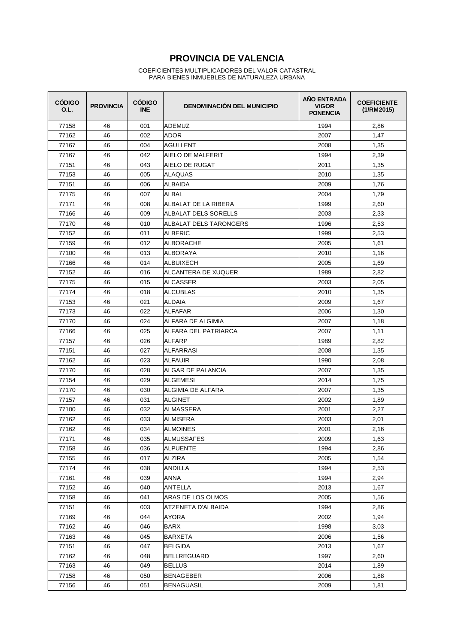| <b>CÓDIGO</b><br>O.L. | <b>PROVINCIA</b> | <b>CÓDIGO</b><br><b>INE</b> | <b>DENOMINACIÓN DEL MUNICIPIO</b> | AÑO ENTRADA<br><b>VIGOR</b><br><b>PONENCIA</b> | <b>COEFICIENTE</b><br>(1/RM2015) |
|-----------------------|------------------|-----------------------------|-----------------------------------|------------------------------------------------|----------------------------------|
| 77158                 | 46               | 001                         | ADEMUZ                            | 1994                                           | 2,86                             |
| 77162                 | 46               | 002                         | <b>ADOR</b>                       | 2007                                           | 1,47                             |
| 77167                 | 46               | 004                         | <b>AGULLENT</b>                   | 2008                                           | 1,35                             |
| 77167                 | 46               | 042                         | AIELO DE MALFERIT                 | 1994                                           | 2,39                             |
| 77151                 | 46               | 043                         | AIELO DE RUGAT                    | 2011                                           | 1,35                             |
| 77153                 | 46               | 005                         | <b>ALAQUAS</b>                    | 2010                                           | 1,35                             |
| 77151                 | 46               | 006                         | <b>ALBAIDA</b>                    | 2009                                           | 1,76                             |
| 77175                 | 46               | 007                         | ALBAL                             | 2004                                           | 1,79                             |
| 77171                 | 46               | 008                         | ALBALAT DE LA RIBERA              | 1999                                           | 2,60                             |
| 77166                 | 46               | 009                         | ALBALAT DELS SORELLS              | 2003                                           | 2,33                             |
| 77170                 | 46               | 010                         | ALBALAT DELS TARONGERS            | 1996                                           | 2,53                             |
| 77152                 | 46               | 011                         | <b>ALBERIC</b>                    | 1999                                           | 2,53                             |
| 77159                 | 46               | 012                         | <b>ALBORACHE</b>                  | 2005                                           | 1,61                             |
| 77100                 | 46               | 013                         | ALBORAYA                          | 2010                                           | 1,16                             |
| 77166                 | 46               | 014                         | <b>ALBUIXECH</b>                  | 2005                                           | 1,69                             |
| 77152                 | 46               | 016                         | ALCANTERA DE XUQUER               | 1989                                           | 2,82                             |
| 77175                 | 46               | 015                         | <b>ALCASSER</b>                   | 2003                                           | 2,05                             |
| 77174                 | 46               | 018                         | <b>ALCUBLAS</b>                   | 2010                                           | 1,35                             |
| 77153                 | 46               | 021                         | <b>ALDAIA</b>                     | 2009                                           | 1,67                             |
| 77173                 | 46               | 022                         | <b>ALFAFAR</b>                    | 2006                                           | 1,30                             |
| 77170                 | 46               | 024                         | ALFARA DE ALGIMIA                 | 2007                                           | 1,18                             |
| 77166                 | 46               | 025                         | ALFARA DEL PATRIARCA              | 2007                                           | 1,11                             |
| 77157                 | 46               | 026                         | ALFARP                            | 1989                                           | 2,82                             |
| 77151                 | 46               | 027                         | ALFARRASI                         | 2008                                           | 1,35                             |
| 77162                 | 46               | 023                         | ALFAUIR                           | 1990                                           | 2,08                             |
| 77170                 | 46               | 028                         | ALGAR DE PALANCIA                 | 2007                                           | 1,35                             |
| 77154                 | 46               | 029                         | ALGEMESI                          | 2014                                           | 1,75                             |
| 77170                 | 46               | 030                         | ALGIMIA DE ALFARA                 | 2007                                           | 1,35                             |
| 77157                 | 46               | 031                         | <b>ALGINET</b>                    | 2002                                           | 1,89                             |
| 77100                 | 46               | 032                         | <b>ALMASSERA</b>                  | 2001                                           | 2,27                             |
| 77162                 | 46               | 033                         | ALMISERA                          | 2003                                           | 2,01                             |
| 77162                 | 46               | 034                         | <b>ALMOINES</b>                   | 2001                                           | 2,16                             |
| 77171                 | 46               | 035                         | ALMUSSAFES                        | 2009                                           | 1,63                             |
| 77158                 | 46               | 036                         | ALPUENTE                          | 1994                                           | 2,86                             |
| 77155                 | 46               | 017                         | <b>ALZIRA</b>                     | 2005                                           | 1,54                             |
| 77174                 | 46               | 038                         | <b>ANDILLA</b>                    | 1994                                           | 2,53                             |
| 77161                 | 46               | 039                         | ANNA                              | 1994                                           | 2,94                             |
| 77152                 | 46               | 040                         | ANTELLA                           | 2013                                           | 1,67                             |
| 77158                 | 46               | 041                         | ARAS DE LOS OLMOS                 | 2005                                           | 1,56                             |
| 77151                 | 46               | 003                         | ATZENETA D'ALBAIDA                | 1994                                           | 2,86                             |
| 77169                 | 46               | 044                         | AYORA                             | 2002                                           | 1,94                             |
| 77162                 | 46               | 046                         | <b>BARX</b>                       | 1998                                           | 3,03                             |
| 77163                 | 46               | 045                         | <b>BARXETA</b>                    | 2006                                           | 1,56                             |
| 77151                 | 46               | 047                         | <b>BELGIDA</b>                    | 2013                                           | 1,67                             |
| 77162                 | 46               | 048                         | <b>BELLREGUARD</b>                | 1997                                           | 2,60                             |
| 77163                 | 46               | 049                         | <b>BELLUS</b>                     | 2014                                           | 1,89                             |
| 77158                 | 46               | 050                         | BENAGEBER                         | 2006                                           | 1,88                             |
| 77156                 | 46               | 051                         | BENAGUASIL                        | 2009                                           | 1,81                             |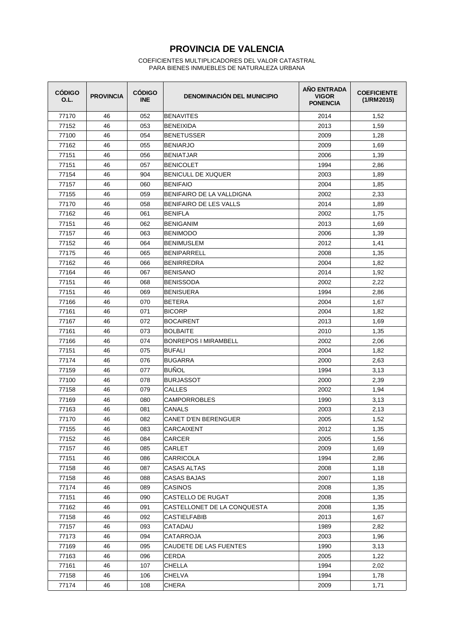| <b>CÓDIGO</b><br>O.L. | <b>PROVINCIA</b> | <b>CÓDIGO</b><br><b>INE</b> | <b>DENOMINACIÓN DEL MUNICIPIO</b> | AÑO ENTRADA<br><b>VIGOR</b><br><b>PONENCIA</b> | <b>COEFICIENTE</b><br>(1/RM2015) |
|-----------------------|------------------|-----------------------------|-----------------------------------|------------------------------------------------|----------------------------------|
| 77170                 | 46               | 052                         | <b>BENAVITES</b>                  | 2014                                           | 1,52                             |
| 77152                 | 46               | 053                         | <b>BENEIXIDA</b>                  | 2013                                           | 1,59                             |
| 77100                 | 46               | 054                         | BENETUSSER                        | 2009                                           | 1,28                             |
| 77162                 | 46               | 055                         | <b>BENIARJO</b>                   | 2009                                           | 1,69                             |
| 77151                 | 46               | 056                         | <b>BENIATJAR</b>                  | 2006                                           | 1,39                             |
| 77151                 | 46               | 057                         | <b>BENICOLET</b>                  | 1994                                           | 2,86                             |
| 77154                 | 46               | 904                         | <b>BENICULL DE XUQUER</b>         | 2003                                           | 1,89                             |
| 77157                 | 46               | 060                         | <b>BENIFAIO</b>                   | 2004                                           | 1,85                             |
| 77155                 | 46               | 059                         | BENIFAIRO DE LA VALLDIGNA         | 2002                                           | 2,33                             |
| 77170                 | 46               | 058                         | BENIFAIRO DE LES VALLS            | 2014                                           | 1,89                             |
| 77162                 | 46               | 061                         | BENIFLA                           | 2002                                           | 1,75                             |
| 77151                 | 46               | 062                         | <b>BENIGANIM</b>                  | 2013                                           | 1,69                             |
| 77157                 | 46               | 063                         | <b>BENIMODO</b>                   | 2006                                           | 1,39                             |
| 77152                 | 46               | 064                         | <b>BENIMUSLEM</b>                 | 2012                                           | 1,41                             |
| 77175                 | 46               | 065                         | <b>BENIPARRELL</b>                | 2008                                           | 1,35                             |
| 77162                 | 46               | 066                         | <b>BENIRREDRA</b>                 | 2004                                           | 1,82                             |
| 77164                 | 46               | 067                         | <b>BENISANO</b>                   | 2014                                           | 1,92                             |
| 77151                 | 46               | 068                         | <b>BENISSODA</b>                  | 2002                                           | 2,22                             |
| 77151                 | 46               | 069                         | <b>BENISUERA</b>                  | 1994                                           | 2,86                             |
| 77166                 | 46               | 070                         | <b>BETERA</b>                     | 2004                                           | 1,67                             |
| 77161                 | 46               | 071                         | <b>BICORP</b>                     | 2004                                           | 1,82                             |
| 77167                 | 46               | 072                         | <b>BOCAIRENT</b>                  | 2013                                           | 1,69                             |
| 77161                 | 46               | 073                         | <b>BOLBAITE</b>                   | 2010                                           | 1,35                             |
| 77166                 | 46               | 074                         | <b>BONREPOS I MIRAMBELL</b>       | 2002                                           | 2,06                             |
| 77151                 | 46               | 075                         | BUFALI                            | 2004                                           | 1,82                             |
| 77174                 | 46               | 076                         | <b>BUGARRA</b>                    | 2000                                           | 2,63                             |
| 77159                 | 46               | 077                         | BUÑOL                             | 1994                                           | 3,13                             |
| 77100                 | 46               | 078                         | <b>BURJASSOT</b>                  | 2000                                           | 2,39                             |
| 77158                 | 46               | 079                         | <b>CALLES</b>                     | 2002                                           | 1,94                             |
| 77169                 | 46               | 080                         | <b>CAMPORROBLES</b>               | 1990                                           | 3,13                             |
| 77163                 | 46               | 081                         | <b>CANALS</b>                     | 2003                                           | 2,13                             |
| 77170                 | 46               | 082                         | CANET D'EN BERENGUER              | 2005                                           | 1,52                             |
| 77155                 | 46               | 083                         | CARCAIXENT                        | 2012                                           | 1,35                             |
| 77152                 | 46               | 084                         | <b>CARCER</b>                     | 2005                                           | 1,56                             |
| 77157                 | 46               | 085                         | CARLET                            | 2009                                           | 1,69                             |
| 77151                 | 46               | 086                         | CARRICOLA                         | 1994                                           | 2,86                             |
| 77158                 | 46               | 087                         | CASAS ALTAS                       | 2008                                           | 1,18                             |
| 77158                 | 46               | 088                         | CASAS BAJAS                       | 2007                                           | 1,18                             |
| 77174                 | 46               | 089                         | CASINOS                           | 2008                                           | 1,35                             |
| 77151                 | 46               | 090                         | CASTELLO DE RUGAT                 | 2008                                           | 1,35                             |
| 77162                 | 46               | 091                         | CASTELLONET DE LA CONQUESTA       | 2008                                           | 1,35                             |
| 77158                 | 46               | 092                         | CASTIELFABIB                      | 2013                                           | 1,67                             |
| 77157                 | 46               | 093                         | CATADAU                           | 1989                                           | 2,82                             |
| 77173                 | 46               | 094                         | CATARROJA                         | 2003                                           | 1,96                             |
| 77169                 | 46               | 095                         | CAUDETE DE LAS FUENTES            | 1990                                           | 3,13                             |
| 77163                 | 46               | 096                         | CERDA                             | 2005                                           | 1,22                             |
| 77161                 | 46               | 107                         | CHELLA                            | 1994                                           | 2,02                             |
| 77158                 | 46               | 106                         | CHELVA                            | 1994                                           | 1,78                             |
| 77174                 | 46               | 108                         | CHERA                             | 2009                                           | 1,71                             |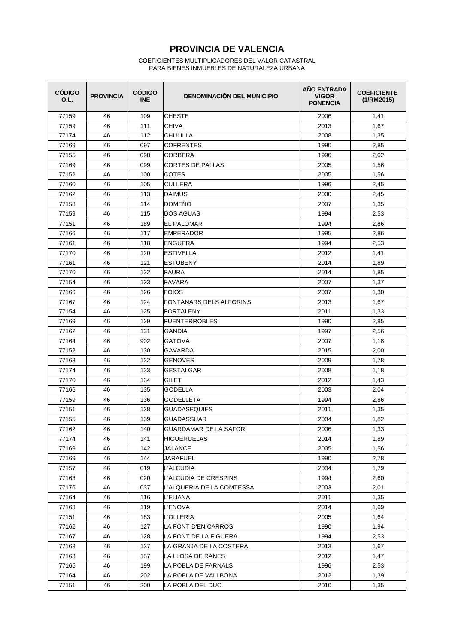| <b>CÓDIGO</b><br>O.L. | <b>PROVINCIA</b> | <b>CÓDIGO</b><br><b>INE</b> | <b>DENOMINACIÓN DEL MUNICIPIO</b> | <b>AÑO ENTRADA</b><br><b>VIGOR</b><br><b>PONENCIA</b> | <b>COEFICIENTE</b><br>(1/RM2015) |
|-----------------------|------------------|-----------------------------|-----------------------------------|-------------------------------------------------------|----------------------------------|
| 77159                 | 46               | 109                         | <b>CHESTE</b>                     | 2006                                                  | 1,41                             |
| 77159                 | 46               | 111                         | <b>CHIVA</b>                      | 2013                                                  | 1,67                             |
| 77174                 | 46               | 112                         | <b>CHULILLA</b>                   | 2008                                                  | 1,35                             |
| 77169                 | 46               | 097                         | <b>COFRENTES</b>                  | 1990                                                  | 2,85                             |
| 77155                 | 46               | 098                         | <b>CORBERA</b>                    | 1996                                                  | 2,02                             |
| 77169                 | 46               | 099                         | CORTES DE PALLAS                  | 2005                                                  | 1,56                             |
| 77152                 | 46               | 100                         | COTES                             | 2005                                                  | 1,56                             |
| 77160                 | 46               | 105                         | <b>CULLERA</b>                    | 1996                                                  | 2,45                             |
| 77162                 | 46               | 113                         | DAIMUS                            | 2000                                                  | 2,45                             |
| 77158                 | 46               | 114                         | DOMEÑO                            | 2007                                                  | 1,35                             |
| 77159                 | 46               | 115                         | DOS AGUAS                         | 1994                                                  | 2,53                             |
| 77151                 | 46               | 189                         | <b>EL PALOMAR</b>                 | 1994                                                  | 2,86                             |
| 77166                 | 46               | 117                         | <b>EMPERADOR</b>                  | 1995                                                  | 2,86                             |
| 77161                 | 46               | 118                         | <b>ENGUERA</b>                    | 1994                                                  | 2,53                             |
| 77170                 | 46               | 120                         | <b>ESTIVELLA</b>                  | 2012                                                  | 1,41                             |
| 77161                 | 46               | 121                         | <b>ESTUBENY</b>                   | 2014                                                  | 1,89                             |
| 77170                 | 46               | 122                         | <b>FAURA</b>                      | 2014                                                  | 1,85                             |
| 77154                 | 46               | 123                         | FAVARA                            | 2007                                                  | 1,37                             |
| 77166                 | 46               | 126                         | <b>FOIOS</b>                      | 2007                                                  | 1,30                             |
| 77167                 | 46               | 124                         | FONTANARS DELS ALFORINS           | 2013                                                  | 1,67                             |
| 77154                 | 46               | 125                         | <b>FORTALENY</b>                  | 2011                                                  | 1,33                             |
| 77169                 | 46               | 129                         | <b>FUENTERROBLES</b>              | 1990                                                  | 2,85                             |
| 77162                 | 46               | 131                         | <b>GANDIA</b>                     | 1997                                                  | 2,56                             |
| 77164                 | 46               | 902                         | <b>GATOVA</b>                     | 2007                                                  | 1,18                             |
| 77152                 | 46               | 130                         | GAVARDA                           | 2015                                                  | 2,00                             |
| 77163                 | 46               | 132                         | <b>GENOVES</b>                    | 2009                                                  | 1,78                             |
| 77174                 | 46               | 133                         | <b>GESTALGAR</b>                  | 2008                                                  | 1,18                             |
| 77170                 | 46               | 134                         | <b>GILET</b>                      | 2012                                                  | 1,43                             |
| 77166                 | 46               | 135                         | GODELLA                           | 2003                                                  | 2,04                             |
| 77159                 | 46               | 136                         | <b>GODELLETA</b>                  | 1994                                                  | 2,86                             |
| 77151                 | 46               | 138                         | <b>GUADASEQUIES</b>               | 2011                                                  | 1,35                             |
| 77155                 | 46               | 139                         | <b>GUADASSUAR</b>                 | 2004                                                  | 1,82                             |
| 77162                 | 46               | 140                         | GUARDAMAR DE LA SAFOR             | 2006                                                  | 1,33                             |
| 77174                 | 46               | 141                         | HIGUERUELAS                       | 2014                                                  | 1,89                             |
| 77169                 | 46               | 142                         | JALANCE                           | 2005                                                  | 1,56                             |
| 77169                 | 46               | 144                         | <b>JARAFUEL</b>                   | 1990                                                  | 2,78                             |
| 77157                 | 46               | 019                         | L'ALCUDIA                         | 2004                                                  | 1,79                             |
| 77163                 | 46               | 020                         | L'ALCUDIA DE CRESPINS             | 1994                                                  | 2,60                             |
| 77176                 | 46               | 037                         | L'ALQUERIA DE LA COMTESSA         | 2003                                                  | 2,01                             |
| 77164                 | 46               | 116                         | L'ELIANA                          | 2011                                                  | 1,35                             |
| 77163                 | 46               | 119                         | L'ENOVA                           | 2014                                                  | 1,69                             |
| 77151                 | 46               | 183                         | L'OLLERIA                         | 2005                                                  | 1,64                             |
| 77162                 | 46               | 127                         | LA FONT D'EN CARROS               | 1990                                                  | 1,94                             |
| 77167                 | 46               | 128                         | LA FONT DE LA FIGUERA             | 1994                                                  | 2,53                             |
| 77163                 | 46               | 137                         | LA GRANJA DE LA COSTERA           | 2013                                                  | 1,67                             |
| 77163                 | 46               | 157                         | LA LLOSA DE RANES                 | 2012                                                  | 1,47                             |
| 77165                 | 46               | 199                         | LA POBLA DE FARNALS               | 1996                                                  | 2,53                             |
| 77164                 | 46               | 202                         | LA POBLA DE VALLBONA              | 2012                                                  | 1,39                             |
| 77151                 | 46               | 200                         | LA POBLA DEL DUC                  | 2010                                                  | 1,35                             |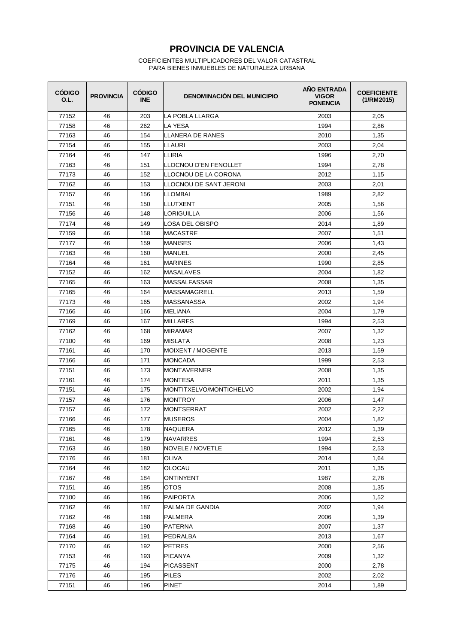| <b>CÓDIGO</b><br>O.L. | <b>PROVINCIA</b> | <b>CÓDIGO</b><br><b>INE</b> | <b>DENOMINACIÓN DEL MUNICIPIO</b> | <b>AÑO ENTRADA</b><br><b>VIGOR</b><br><b>PONENCIA</b> | <b>COEFICIENTE</b><br>(1/RM2015) |
|-----------------------|------------------|-----------------------------|-----------------------------------|-------------------------------------------------------|----------------------------------|
| 77152                 | 46               | 203                         | LA POBLA LLARGA                   | 2003                                                  | 2,05                             |
| 77158                 | 46               | 262                         | LA YESA                           | 1994                                                  | 2,86                             |
| 77163                 | 46               | 154                         | LLANERA DE RANES                  | 2010                                                  | 1,35                             |
| 77154                 | 46               | 155                         | <b>LLAURI</b>                     | 2003                                                  | 2,04                             |
| 77164                 | 46               | 147                         | LLIRIA                            | 1996                                                  | 2,70                             |
| 77163                 | 46               | 151                         | ILLOCNOU D'EN FENOLLET            | 1994                                                  | 2,78                             |
| 77173                 | 46               | 152                         | LLOCNOU DE LA CORONA              | 2012                                                  | 1,15                             |
| 77162                 | 46               | 153                         | ILLOCNOU DE SANT JERONI           | 2003                                                  | 2,01                             |
| 77157                 | 46               | 156                         | LLOMBAI                           | 1989                                                  | 2,82                             |
| 77151                 | 46               | 150                         | ILLUTXENT                         | 2005                                                  | 1,56                             |
| 77156                 | 46               | 148                         | LORIGUILLA                        | 2006                                                  | 1,56                             |
| 77174                 | 46               | 149                         | LOSA DEL OBISPO                   | 2014                                                  | 1,89                             |
| 77159                 | 46               | 158                         | <b>MACASTRE</b>                   | 2007                                                  | 1,51                             |
| 77177                 | 46               | 159                         | <b>MANISES</b>                    | 2006                                                  | 1,43                             |
| 77163                 | 46               | 160                         | <b>MANUEL</b>                     | 2000                                                  | 2,45                             |
| 77164                 | 46               | 161                         | <b>MARINES</b>                    | 1990                                                  | 2,85                             |
| 77152                 | 46               | 162                         | <b>MASALAVES</b>                  | 2004                                                  | 1,82                             |
| 77165                 | 46               | 163                         | <b>MASSALFASSAR</b>               | 2008                                                  | 1,35                             |
| 77165                 | 46               | 164                         | MASSAMAGRELL                      | 2013                                                  | 1,59                             |
| 77173                 | 46               | 165                         | <b>MASSANASSA</b>                 | 2002                                                  | 1,94                             |
| 77166                 | 46               | 166                         | <b>MELIANA</b>                    | 2004                                                  | 1,79                             |
| 77169                 | 46               | 167                         | <b>MILLARES</b>                   | 1994                                                  | 2,53                             |
| 77162                 | 46               | 168                         | <b>MIRAMAR</b>                    | 2007                                                  | 1,32                             |
| 77100                 | 46               | 169                         | <b>MISLATA</b>                    | 2008                                                  | 1,23                             |
| 77161                 | 46               | 170                         | MOIXENT / MOGENTE                 | 2013                                                  | 1,59                             |
| 77166                 | 46               | 171                         | <b>MONCADA</b>                    | 1999                                                  | 2,53                             |
| 77151                 | 46               | 173                         | <b>MONTAVERNER</b>                | 2008                                                  | 1,35                             |
| 77161                 | 46               | 174                         | MONTESA                           | 2011                                                  | 1,35                             |
| 77151                 | 46               | 175                         | MONTITXELVO/MONTICHELVO           | 2002                                                  | 1,94                             |
| 77157                 | 46               | 176                         | MONTROY                           | 2006                                                  | 1,47                             |
| 77157                 | 46               | 172                         | <b>MONTSERRAT</b>                 | 2002                                                  | 2,22                             |
| 77166                 | 46               | 177                         | <b>MUSEROS</b>                    | 2004                                                  | 1,82                             |
| 77165                 | 46               | 178                         | NAQUERA                           | 2012                                                  | 1,39                             |
| 77161                 | 46               | 179                         | <b>NAVARRES</b>                   | 1994                                                  | 2,53                             |
| 77163                 | 46               | 180                         | NOVELE / NOVETLE                  | 1994                                                  | 2,53                             |
| 77176                 | 46               | 181                         | OLIVA                             | 2014                                                  | 1,64                             |
| 77164                 | 46               | 182                         | <b>OLOCAU</b>                     | 2011                                                  | 1,35                             |
| 77167                 | 46               | 184                         | ONTINYENT                         | 1987                                                  | 2,78                             |
| 77151                 | 46               | 185                         | <b>OTOS</b>                       | 2008                                                  | 1,35                             |
| 77100                 | 46               | 186                         | <b>PAIPORTA</b>                   | 2006                                                  | 1,52                             |
| 77162                 | 46               | 187                         | PALMA DE GANDIA                   | 2002                                                  | 1,94                             |
| 77162                 | 46               | 188                         | <b>PALMERA</b>                    | 2006                                                  | 1,39                             |
| 77168                 | 46               | 190                         | PATERNA                           | 2007                                                  | 1,37                             |
| 77164                 | 46               | 191                         | PEDRALBA                          | 2013                                                  | 1,67                             |
| 77170                 | 46               | 192                         | <b>PETRES</b>                     | 2000                                                  | 2,56                             |
| 77153                 | 46               | 193                         | <b>PICANYA</b>                    | 2009                                                  | 1,32                             |
| 77175                 | 46               | 194                         | <b>PICASSENT</b>                  | 2000                                                  | 2,78                             |
| 77176                 | 46               | 195                         | PILES                             | 2002                                                  | 2,02                             |
| 77151                 | 46               | 196                         | PINET                             | 2014                                                  | 1,89                             |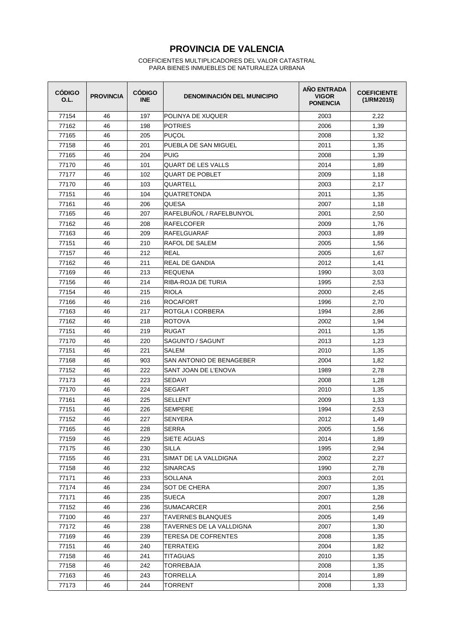| <b>CÓDIGO</b><br>O.L. | <b>PROVINCIA</b> | <b>CÓDIGO</b><br><b>INE</b> | <b>DENOMINACIÓN DEL MUNICIPIO</b> | AÑO ENTRADA<br><b>VIGOR</b><br><b>PONENCIA</b> | <b>COEFICIENTE</b><br>(1/RM2015) |
|-----------------------|------------------|-----------------------------|-----------------------------------|------------------------------------------------|----------------------------------|
| 77154                 | 46               | 197                         | POLINYA DE XUQUER                 | 2003                                           | 2,22                             |
| 77162                 | 46               | 198                         | <b>POTRIES</b>                    | 2006                                           | 1,39                             |
| 77165                 | 46               | 205                         | PUÇOL                             | 2008                                           | 1,32                             |
| 77158                 | 46               | 201                         | PUEBLA DE SAN MIGUEL              | 2011                                           | 1,35                             |
| 77165                 | 46               | 204                         | <b>PUIG</b>                       | 2008                                           | 1,39                             |
| 77170                 | 46               | 101                         | <b>QUART DE LES VALLS</b>         | 2014                                           | 1,89                             |
| 77177                 | 46               | 102                         | <b>QUART DE POBLET</b>            | 2009                                           | 1,18                             |
| 77170                 | 46               | 103                         | <b>QUARTELL</b>                   | 2003                                           | 2,17                             |
| 77151                 | 46               | 104                         | QUATRETONDA                       | 2011                                           | 1,35                             |
| 77161                 | 46               | 206                         | <b>QUESA</b>                      | 2007                                           | 1,18                             |
| 77165                 | 46               | 207                         | RAFELBUNOL / RAFELBUNYOL          | 2001                                           | 2,50                             |
| 77162                 | 46               | 208                         | RAFELCOFER                        | 2009                                           | 1,76                             |
| 77163                 | 46               | 209                         | <b>RAFELGUARAF</b>                | 2003                                           | 1,89                             |
| 77151                 | 46               | 210                         | RAFOL DE SALEM                    | 2005                                           | 1,56                             |
| 77157                 | 46               | 212                         | <b>REAL</b>                       | 2005                                           | 1,67                             |
| 77162                 | 46               | 211                         | REAL DE GANDIA                    | 2012                                           | 1,41                             |
| 77169                 | 46               | 213                         | <b>REQUENA</b>                    | 1990                                           | 3,03                             |
| 77156                 | 46               | 214                         | RIBA-ROJA DE TURIA                | 1995                                           | 2,53                             |
| 77154                 | 46               | 215                         | <b>RIOLA</b>                      | 2000                                           | 2,45                             |
| 77166                 | 46               | 216                         | <b>ROCAFORT</b>                   | 1996                                           | 2,70                             |
| 77163                 | 46               | 217                         | ROTGLA I CORBERA                  | 1994                                           | 2,86                             |
| 77162                 | 46               | 218                         | <b>ROTOVA</b>                     | 2002                                           | 1,94                             |
| 77151                 | 46               | 219                         | <b>RUGAT</b>                      | 2011                                           | 1,35                             |
| 77170                 | 46               | 220                         | SAGUNTO / SAGUNT                  | 2013                                           | 1,23                             |
| 77151                 | 46               | 221                         | SALEM                             | 2010                                           | 1,35                             |
| 77168                 | 46               | 903                         | SAN ANTONIO DE BENAGEBER          | 2004                                           | 1,82                             |
| 77152                 | 46               | 222                         | SANT JOAN DE L'ENOVA              | 1989                                           | 2,78                             |
| 77173                 | 46               | 223                         | SEDAVI                            | 2008                                           | 1,28                             |
| 77170                 | 46               | 224                         | <b>SEGART</b>                     | 2010                                           | 1,35                             |
| 77161                 | 46               | 225                         | <b>SELLENT</b>                    | 2009                                           | 1,33                             |
| 77151                 | 46               | 226                         | <b>SEMPERE</b>                    | 1994                                           | 2,53                             |
| 77152                 | 46               | 227                         | SENYERA                           | 2012                                           | 1,49                             |
| 77165                 | 46               | 228                         | <b>SERRA</b>                      | 2005                                           | 1,56                             |
| 77159                 | 46               | 229                         | SIETE AGUAS                       | 2014                                           | 1,89                             |
| 77175                 | 46               | 230                         | <b>SILLA</b>                      | 1995                                           | 2,94                             |
| 77155                 | 46               | 231                         | SIMAT DE LA VALLDIGNA             | 2002                                           | 2,27                             |
| 77158                 | 46               | 232                         | <b>SINARCAS</b>                   | 1990                                           | 2,78                             |
| 77171                 | 46               | 233                         | SOLLANA                           | 2003                                           | 2,01                             |
| 77174                 | 46               | 234                         | <b>SOT DE CHERA</b>               | 2007                                           | 1,35                             |
| 77171                 | 46               | 235                         | <b>SUECA</b>                      | 2007                                           | 1,28                             |
| 77152                 | 46               | 236                         | SUMACARCER                        | 2001                                           | 2,56                             |
| 77100                 | 46               | 237                         | <b>TAVERNES BLANQUES</b>          | 2005                                           | 1,49                             |
| 77172                 | 46               | 238                         | TAVERNES DE LA VALLDIGNA          | 2007                                           | 1,30                             |
| 77169                 | 46               | 239                         | TERESA DE COFRENTES               | 2008                                           | 1,35                             |
| 77151                 | 46               | 240                         | TERRATEIG                         | 2004                                           | 1,82                             |
| 77158                 | 46               | 241                         | TITAGUAS                          | 2010                                           | 1,35                             |
| 77158                 | 46               | 242                         | TORREBAJA                         | 2008                                           | 1,35                             |
| 77163                 | 46               | 243                         | TORRELLA                          | 2014                                           | 1,89                             |
| 77173                 | 46               | 244                         | TORRENT                           | 2008                                           | 1,33                             |